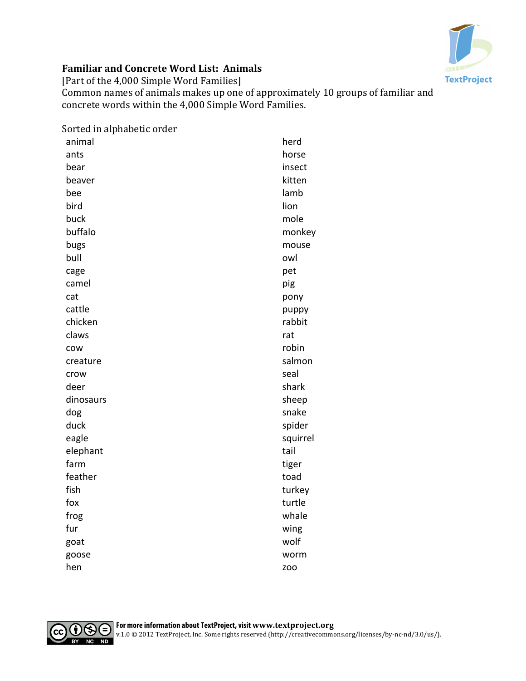

## **Familiar and Concrete Word List: Animals**

[Part of the 4,000 Simple Word Families]

Common names of animals makes up one of approximately 10 groups of familiar and concrete words within the 4,000 Simple Word Families.

| Sorted in alphabetic order |            |
|----------------------------|------------|
| animal                     | herd       |
| ants                       | horse      |
| bear                       | insect     |
| beaver                     | kitten     |
| bee                        | lamb       |
| bird                       | lion       |
| buck                       | mole       |
| buffalo                    | monkey     |
| bugs                       | mouse      |
| bull                       | owl        |
| cage                       | pet        |
| camel                      | pig        |
| cat                        | pony       |
| cattle                     | puppy      |
| chicken                    | rabbit     |
| claws                      | rat        |
| COW                        | robin      |
| creature                   | salmon     |
| crow                       | seal       |
| deer                       | shark      |
| dinosaurs                  | sheep      |
| dog                        | snake      |
| duck                       | spider     |
| eagle                      | squirrel   |
| elephant                   | tail       |
| farm                       | tiger      |
| feather                    | toad       |
| fish                       | turkey     |
| fox                        | turtle     |
| frog                       | whale      |
| fur                        | wing       |
| goat                       | wolf       |
| goose                      | worm       |
| hen                        | <b>ZOO</b> |